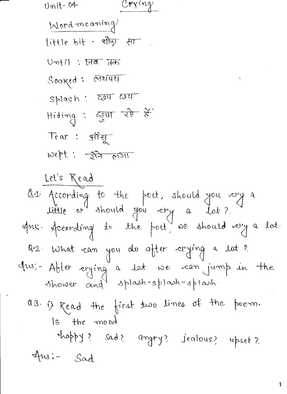$\overline{a}$ 

 $\ddot{\phantom{0}}$ 

 $\overline{\mathbf{I}}$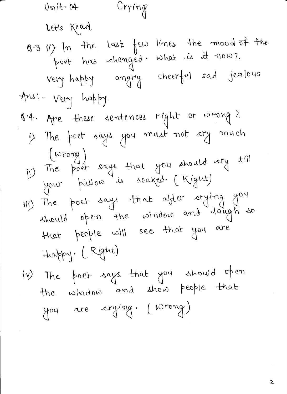$Unit-04$ Crying Let's Read 8.3 ii) In the last few lines the mood of the poet has changéd. What is it now?. very happy angry cheerful sad jealous Ans: - Very happy. 1.4. Are these sentences right or wrong? is The poet says you must not cry mych  $(wrop)$ ii) The poet says that you should ary till your pillon is soaked. (Kignt) iii) The poet says that after crying you should open the window and laugh so that people will see that you are happy. (Right) iv) The poet says that you should open the window and show people that you are crying. (Wrong)

2